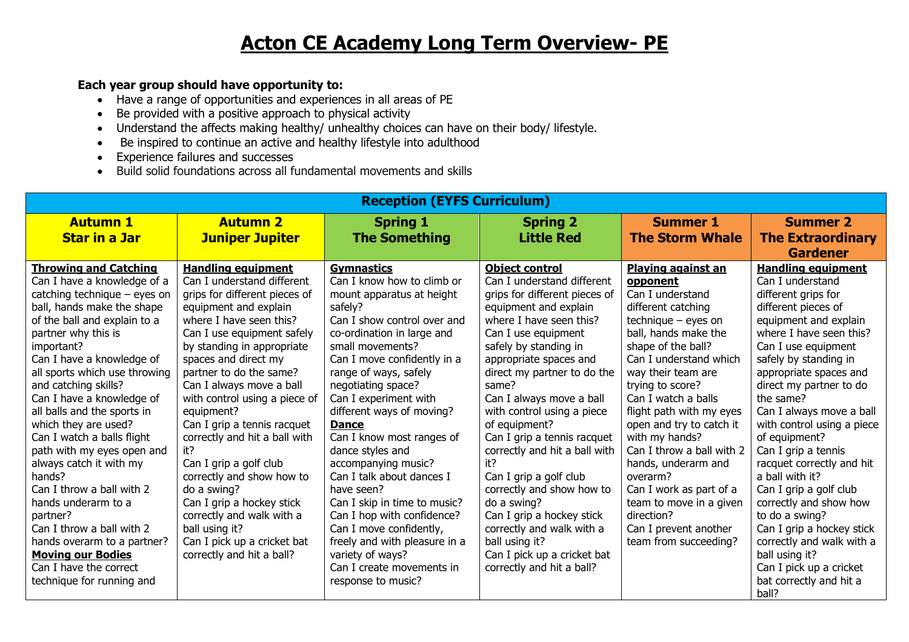## **Acton CE Academy Long Term Overview- PE**

## **Each year group should have opportunity to:**

- Have a range of opportunities and experiences in all areas of PE
- Be provided with a positive approach to physical activity
- Understand the affects making healthy/ unhealthy choices can have on their body/ lifestyle.
- Be inspired to continue an active and healthy lifestyle into adulthood
- Experience failures and successes
- Build solid foundations across all fundamental movements and skills

| <b>Reception (EYFS Curriculum)</b>                                                                                                                                                                                                                                                                                                                                                                                                                                                                                                                                                                                                  |                                                                                                                                                                                                                                                                                                                                                                                                                                                                                                                                                                                                                             |                                                                                                                                                                                                                                                                                                                                                                                                                                                                                                                                                                                               |                                                                                                                                                                                                                                                                                                                                                                                                                                                                                                                                                                                               |                                                                                                                                                                                                                                                                                                                                                                                                                                                                                                          |                                                                                                                                                                                                                                                                                                                                                                                                                                                                                                                                                                       |  |  |
|-------------------------------------------------------------------------------------------------------------------------------------------------------------------------------------------------------------------------------------------------------------------------------------------------------------------------------------------------------------------------------------------------------------------------------------------------------------------------------------------------------------------------------------------------------------------------------------------------------------------------------------|-----------------------------------------------------------------------------------------------------------------------------------------------------------------------------------------------------------------------------------------------------------------------------------------------------------------------------------------------------------------------------------------------------------------------------------------------------------------------------------------------------------------------------------------------------------------------------------------------------------------------------|-----------------------------------------------------------------------------------------------------------------------------------------------------------------------------------------------------------------------------------------------------------------------------------------------------------------------------------------------------------------------------------------------------------------------------------------------------------------------------------------------------------------------------------------------------------------------------------------------|-----------------------------------------------------------------------------------------------------------------------------------------------------------------------------------------------------------------------------------------------------------------------------------------------------------------------------------------------------------------------------------------------------------------------------------------------------------------------------------------------------------------------------------------------------------------------------------------------|----------------------------------------------------------------------------------------------------------------------------------------------------------------------------------------------------------------------------------------------------------------------------------------------------------------------------------------------------------------------------------------------------------------------------------------------------------------------------------------------------------|-----------------------------------------------------------------------------------------------------------------------------------------------------------------------------------------------------------------------------------------------------------------------------------------------------------------------------------------------------------------------------------------------------------------------------------------------------------------------------------------------------------------------------------------------------------------------|--|--|
| <b>Autumn 1</b>                                                                                                                                                                                                                                                                                                                                                                                                                                                                                                                                                                                                                     | <b>Autumn 2</b>                                                                                                                                                                                                                                                                                                                                                                                                                                                                                                                                                                                                             | <b>Spring 1</b>                                                                                                                                                                                                                                                                                                                                                                                                                                                                                                                                                                               | <b>Spring 2</b>                                                                                                                                                                                                                                                                                                                                                                                                                                                                                                                                                                               | <b>Summer 1</b>                                                                                                                                                                                                                                                                                                                                                                                                                                                                                          | <b>Summer 2</b>                                                                                                                                                                                                                                                                                                                                                                                                                                                                                                                                                       |  |  |
| <b>Star in a Jar</b>                                                                                                                                                                                                                                                                                                                                                                                                                                                                                                                                                                                                                | <b>Juniper Jupiter</b>                                                                                                                                                                                                                                                                                                                                                                                                                                                                                                                                                                                                      | <b>The Something</b>                                                                                                                                                                                                                                                                                                                                                                                                                                                                                                                                                                          | <b>Little Red</b>                                                                                                                                                                                                                                                                                                                                                                                                                                                                                                                                                                             | <b>The Storm Whale</b>                                                                                                                                                                                                                                                                                                                                                                                                                                                                                   | <b>The Extraordinary</b>                                                                                                                                                                                                                                                                                                                                                                                                                                                                                                                                              |  |  |
|                                                                                                                                                                                                                                                                                                                                                                                                                                                                                                                                                                                                                                     |                                                                                                                                                                                                                                                                                                                                                                                                                                                                                                                                                                                                                             |                                                                                                                                                                                                                                                                                                                                                                                                                                                                                                                                                                                               |                                                                                                                                                                                                                                                                                                                                                                                                                                                                                                                                                                                               |                                                                                                                                                                                                                                                                                                                                                                                                                                                                                                          | <b>Gardener</b>                                                                                                                                                                                                                                                                                                                                                                                                                                                                                                                                                       |  |  |
| <b>Throwing and Catching</b><br>Can I have a knowledge of a<br>catching technique $-$ eyes on<br>ball, hands make the shape<br>of the ball and explain to a<br>partner why this is<br>important?<br>Can I have a knowledge of<br>all sports which use throwing<br>and catching skills?<br>Can I have a knowledge of<br>all balls and the sports in<br>which they are used?<br>Can I watch a balls flight<br>path with my eyes open and<br>always catch it with my<br>hands?<br>Can I throw a ball with 2<br>hands underarm to a<br>partner?<br>Can I throw a ball with 2<br>hands overarm to a partner?<br><b>Moving our Bodies</b> | <b>Handling equipment</b><br>Can I understand different<br>grips for different pieces of<br>equipment and explain<br>where I have seen this?<br>Can I use equipment safely<br>by standing in appropriate<br>spaces and direct my<br>partner to do the same?<br>Can I always move a ball<br>with control using a piece of<br>equipment?<br>Can I grip a tennis racquet<br>correctly and hit a ball with<br>it?<br>Can I grip a golf club<br>correctly and show how to<br>do a swing?<br>Can I grip a hockey stick<br>correctly and walk with a<br>ball using it?<br>Can I pick up a cricket bat<br>correctly and hit a ball? | <b>Gymnastics</b><br>Can I know how to climb or<br>mount apparatus at height<br>safely?<br>Can I show control over and<br>co-ordination in large and<br>small movements?<br>Can I move confidently in a<br>range of ways, safely<br>negotiating space?<br>Can I experiment with<br>different ways of moving?<br><b>Dance</b><br>Can I know most ranges of<br>dance styles and<br>accompanying music?<br>Can I talk about dances I<br>have seen?<br>Can I skip in time to music?<br>Can I hop with confidence?<br>Can I move confidently,<br>freely and with pleasure in a<br>variety of ways? | <b>Object control</b><br>Can I understand different<br>grips for different pieces of<br>equipment and explain<br>where I have seen this?<br>Can I use equipment<br>safely by standing in<br>appropriate spaces and<br>direct my partner to do the<br>same?<br>Can I always move a ball<br>with control using a piece<br>of equipment?<br>Can I grip a tennis racquet<br>correctly and hit a ball with<br>it?<br>Can I grip a golf club<br>correctly and show how to<br>do a swing?<br>Can I grip a hockey stick<br>correctly and walk with a<br>ball using it?<br>Can I pick up a cricket bat | Playing against an<br>opponent<br>Can I understand<br>different catching<br>technique - eyes on<br>ball, hands make the<br>shape of the ball?<br>Can I understand which<br>way their team are<br>trying to score?<br>Can I watch a balls<br>flight path with my eyes<br>open and try to catch it<br>with my hands?<br>Can I throw a ball with 2<br>hands, underarm and<br>overarm?<br>Can I work as part of a<br>team to move in a given<br>direction?<br>Can I prevent another<br>team from succeeding? | <b>Handling equipment</b><br>Can I understand<br>different grips for<br>different pieces of<br>equipment and explain<br>where I have seen this?<br>Can I use equipment<br>safely by standing in<br>appropriate spaces and<br>direct my partner to do<br>the same?<br>Can I always move a ball<br>with control using a piece<br>of equipment?<br>Can I grip a tennis<br>racquet correctly and hit<br>a ball with it?<br>Can I grip a golf club<br>correctly and show how<br>to do a swing?<br>Can I grip a hockey stick<br>correctly and walk with a<br>ball using it? |  |  |
| Can I have the correct<br>technique for running and                                                                                                                                                                                                                                                                                                                                                                                                                                                                                                                                                                                 |                                                                                                                                                                                                                                                                                                                                                                                                                                                                                                                                                                                                                             | Can I create movements in<br>response to music?                                                                                                                                                                                                                                                                                                                                                                                                                                                                                                                                               | correctly and hit a ball?                                                                                                                                                                                                                                                                                                                                                                                                                                                                                                                                                                     |                                                                                                                                                                                                                                                                                                                                                                                                                                                                                                          | Can I pick up a cricket<br>bat correctly and hit a<br>ball?                                                                                                                                                                                                                                                                                                                                                                                                                                                                                                           |  |  |
|                                                                                                                                                                                                                                                                                                                                                                                                                                                                                                                                                                                                                                     |                                                                                                                                                                                                                                                                                                                                                                                                                                                                                                                                                                                                                             |                                                                                                                                                                                                                                                                                                                                                                                                                                                                                                                                                                                               |                                                                                                                                                                                                                                                                                                                                                                                                                                                                                                                                                                                               |                                                                                                                                                                                                                                                                                                                                                                                                                                                                                                          |                                                                                                                                                                                                                                                                                                                                                                                                                                                                                                                                                                       |  |  |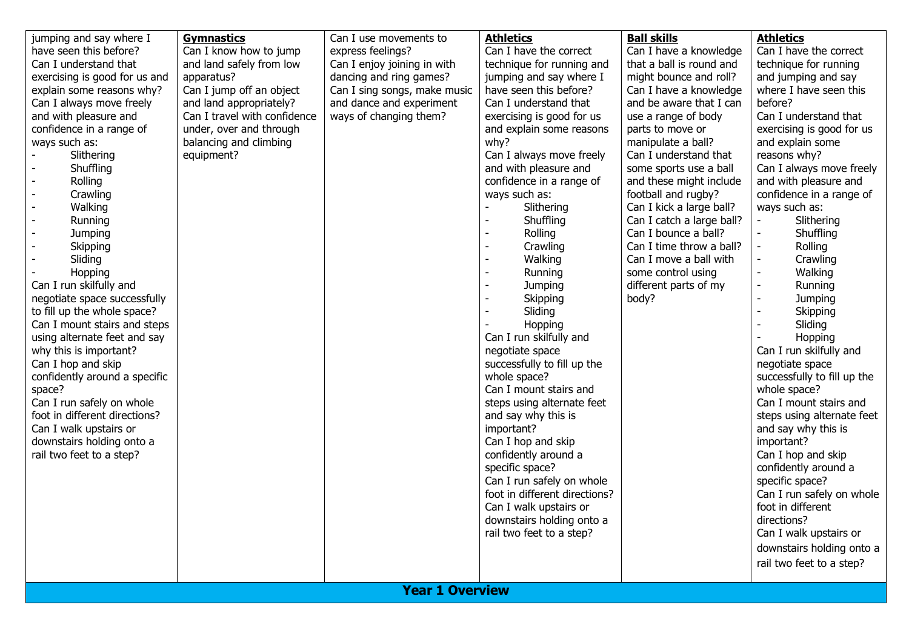| Can I understand that<br>Can I enjoy joining in with<br>dancing and ring games?<br>apparatus?<br>jumping and say where I<br>might bounce and roll?<br>and jumping and say<br>exercising is good for us and<br>Can I jump off an object<br>have seen this before?<br>where I have seen this<br>explain some reasons why?<br>Can I sing songs, make music<br>Can I have a knowledge<br>Can I always move freely<br>and dance and experiment<br>Can I understand that<br>and be aware that I can<br>before?<br>and land appropriately?<br>Can I travel with confidence<br>ways of changing them?<br>Can I understand that<br>and with pleasure and<br>exercising is good for us<br>use a range of body<br>confidence in a range of<br>under, over and through<br>and explain some reasons<br>parts to move or<br>exercising is good for us<br>balancing and climbing<br>why?<br>ways such as:<br>manipulate a ball?<br>and explain some<br>Can I always move freely<br>Slithering<br>equipment?<br>Can I understand that<br>reasons why?<br>and with pleasure and<br>Shuffling<br>some sports use a ball<br>confidence in a range of<br>and these might include<br>and with pleasure and<br>Rolling<br>Crawling<br>ways such as:<br>football and rugby?<br>confidence in a range of<br>Can I kick a large ball?<br>Walking<br>Slithering<br>ways such as:<br>Can I catch a large ball?<br>Shuffling<br>Slithering<br>Running<br>Can I bounce a ball?<br>Shuffling<br>Jumping<br>Rolling<br>Can I time throw a ball?<br>Rolling<br>Skipping<br>Crawling<br>Sliding<br>Walking<br>Can I move a ball with<br>Crawling<br>some control using<br>Walking<br>Hopping<br>Running<br>Can I run skilfully and<br>different parts of my<br>Jumping<br>Running<br>negotiate space successfully<br>Skipping<br>body?<br>Jumping<br>to fill up the whole space?<br>Sliding<br>Skipping<br>Can I mount stairs and steps<br>Sliding<br>Hopping<br>Can I run skilfully and<br>using alternate feet and say<br>Hopping<br>why this is important?<br>negotiate space<br>Can I run skilfully and<br>successfully to fill up the<br>Can I hop and skip<br>negotiate space<br>whole space?<br>successfully to fill up the<br>confidently around a specific<br>whole space?<br>Can I mount stairs and<br>space?<br>Can I run safely on whole<br>Can I mount stairs and<br>steps using alternate feet<br>foot in different directions?<br>and say why this is<br>important?<br>Can I walk upstairs or<br>and say why this is<br>downstairs holding onto a<br>Can I hop and skip<br>important?<br>confidently around a<br>rail two feet to a step?<br>Can I hop and skip<br>specific space?<br>confidently around a<br>Can I run safely on whole<br>specific space?<br>foot in different directions?<br>foot in different<br>Can I walk upstairs or<br>downstairs holding onto a<br>directions?<br>rail two feet to a step?<br>Can I walk upstairs or<br>downstairs holding onto a<br>rail two feet to a step?<br><b>Year 1 Overview</b> | Can I run safely on whole | jumping and say where I<br><b>Gymnastics</b><br>Can I know how to jump<br>express feelings?<br>have seen this before?<br>and land safely from low | Can I use movements to<br><b>Athletics</b><br>Can I have the correct<br>technique for running and | <b>Ball skills</b><br>Can I have a knowledge<br>that a ball is round and | <b>Athletics</b><br>Can I have the correct<br>technique for running<br>Can I always move freely<br>steps using alternate feet |
|---------------------------------------------------------------------------------------------------------------------------------------------------------------------------------------------------------------------------------------------------------------------------------------------------------------------------------------------------------------------------------------------------------------------------------------------------------------------------------------------------------------------------------------------------------------------------------------------------------------------------------------------------------------------------------------------------------------------------------------------------------------------------------------------------------------------------------------------------------------------------------------------------------------------------------------------------------------------------------------------------------------------------------------------------------------------------------------------------------------------------------------------------------------------------------------------------------------------------------------------------------------------------------------------------------------------------------------------------------------------------------------------------------------------------------------------------------------------------------------------------------------------------------------------------------------------------------------------------------------------------------------------------------------------------------------------------------------------------------------------------------------------------------------------------------------------------------------------------------------------------------------------------------------------------------------------------------------------------------------------------------------------------------------------------------------------------------------------------------------------------------------------------------------------------------------------------------------------------------------------------------------------------------------------------------------------------------------------------------------------------------------------------------------------------------------------------------------------------------------------------------------------------------------------------------------------------------------------------------------------------------------------------------------------------------------------------------------------------------------------------------------------------------------------------------------------------------------------------------------------------------------------------------------------------------------------------------------------------------------------------------------|---------------------------|---------------------------------------------------------------------------------------------------------------------------------------------------|---------------------------------------------------------------------------------------------------|--------------------------------------------------------------------------|-------------------------------------------------------------------------------------------------------------------------------|
|---------------------------------------------------------------------------------------------------------------------------------------------------------------------------------------------------------------------------------------------------------------------------------------------------------------------------------------------------------------------------------------------------------------------------------------------------------------------------------------------------------------------------------------------------------------------------------------------------------------------------------------------------------------------------------------------------------------------------------------------------------------------------------------------------------------------------------------------------------------------------------------------------------------------------------------------------------------------------------------------------------------------------------------------------------------------------------------------------------------------------------------------------------------------------------------------------------------------------------------------------------------------------------------------------------------------------------------------------------------------------------------------------------------------------------------------------------------------------------------------------------------------------------------------------------------------------------------------------------------------------------------------------------------------------------------------------------------------------------------------------------------------------------------------------------------------------------------------------------------------------------------------------------------------------------------------------------------------------------------------------------------------------------------------------------------------------------------------------------------------------------------------------------------------------------------------------------------------------------------------------------------------------------------------------------------------------------------------------------------------------------------------------------------------------------------------------------------------------------------------------------------------------------------------------------------------------------------------------------------------------------------------------------------------------------------------------------------------------------------------------------------------------------------------------------------------------------------------------------------------------------------------------------------------------------------------------------------------------------------------------------------|---------------------------|---------------------------------------------------------------------------------------------------------------------------------------------------|---------------------------------------------------------------------------------------------------|--------------------------------------------------------------------------|-------------------------------------------------------------------------------------------------------------------------------|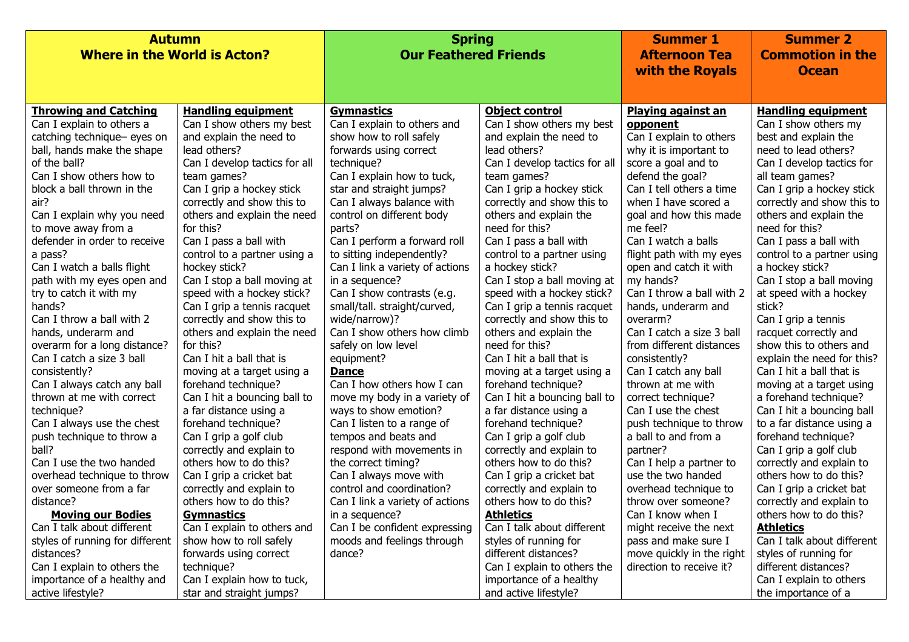| <b>Autumn</b>                       |                               | <b>Spring</b>                   |                               | <b>Summer 1</b>           | <b>Summer 2</b>            |
|-------------------------------------|-------------------------------|---------------------------------|-------------------------------|---------------------------|----------------------------|
| <b>Where in the World is Acton?</b> |                               | <b>Our Feathered Friends</b>    |                               | <b>Afternoon Tea</b>      | <b>Commotion in the</b>    |
|                                     |                               |                                 |                               | with the Royals           | <b>Ocean</b>               |
|                                     |                               |                                 |                               |                           |                            |
|                                     |                               |                                 |                               |                           |                            |
| <b>Throwing and Catching</b>        | <b>Handling equipment</b>     | <b>Gymnastics</b>               | <b>Object control</b>         | <b>Playing against an</b> | <b>Handling equipment</b>  |
| Can I explain to others a           | Can I show others my best     | Can I explain to others and     | Can I show others my best     | opponent                  | Can I show others my       |
| catching technique- eyes on         | and explain the need to       | show how to roll safely         | and explain the need to       | Can I explain to others   | best and explain the       |
| ball, hands make the shape          | lead others?                  | forwards using correct          | lead others?                  | why it is important to    | need to lead others?       |
| of the ball?                        | Can I develop tactics for all | technique?                      | Can I develop tactics for all | score a goal and to       | Can I develop tactics for  |
| Can I show others how to            | team games?                   | Can I explain how to tuck,      | team games?                   | defend the goal?          | all team games?            |
| block a ball thrown in the          | Can I grip a hockey stick     | star and straight jumps?        | Can I grip a hockey stick     | Can I tell others a time  | Can I grip a hockey stick  |
| air?                                | correctly and show this to    | Can I always balance with       | correctly and show this to    | when I have scored a      | correctly and show this to |
| Can I explain why you need          | others and explain the need   | control on different body       | others and explain the        | goal and how this made    | others and explain the     |
| to move away from a                 | for this?                     | parts?                          | need for this?                | me feel?                  | need for this?             |
| defender in order to receive        | Can I pass a ball with        | Can I perform a forward roll    | Can I pass a ball with        | Can I watch a balls       | Can I pass a ball with     |
| a pass?                             | control to a partner using a  | to sitting independently?       | control to a partner using    | flight path with my eyes  | control to a partner using |
| Can I watch a balls flight          | hockey stick?                 | Can I link a variety of actions | a hockey stick?               | open and catch it with    | a hockey stick?            |
| path with my eyes open and          | Can I stop a ball moving at   | in a sequence?                  | Can I stop a ball moving at   | my hands?                 | Can I stop a ball moving   |
| try to catch it with my             | speed with a hockey stick?    | Can I show contrasts (e.g.      | speed with a hockey stick?    | Can I throw a ball with 2 | at speed with a hockey     |
| hands?                              | Can I grip a tennis racquet   | small/tall. straight/curved,    | Can I grip a tennis racquet   | hands, underarm and       | stick?                     |
| Can I throw a ball with 2           | correctly and show this to    | wide/narrow)?                   | correctly and show this to    | overarm?                  | Can I grip a tennis        |
| hands, underarm and                 | others and explain the need   | Can I show others how climb     | others and explain the        | Can I catch a size 3 ball | racquet correctly and      |
| overarm for a long distance?        | for this?                     | safely on low level             | need for this?                | from different distances  | show this to others and    |
| Can I catch a size 3 ball           | Can I hit a ball that is      | equipment?                      | Can I hit a ball that is      | consistently?             | explain the need for this? |
| consistently?                       | moving at a target using a    | <b>Dance</b>                    | moving at a target using a    | Can I catch any ball      | Can I hit a ball that is   |
| Can I always catch any ball         | forehand technique?           | Can I how others how I can      | forehand technique?           | thrown at me with         | moving at a target using   |
| thrown at me with correct           | Can I hit a bouncing ball to  | move my body in a variety of    | Can I hit a bouncing ball to  | correct technique?        | a forehand technique?      |
| technique?                          | a far distance using a        | ways to show emotion?           | a far distance using a        | Can I use the chest       | Can I hit a bouncing ball  |
| Can I always use the chest          | forehand technique?           | Can I listen to a range of      | forehand technique?           | push technique to throw   | to a far distance using a  |
| push technique to throw a           | Can I grip a golf club        | tempos and beats and            | Can I grip a golf club        | a ball to and from a      | forehand technique?        |
| ball?                               | correctly and explain to      | respond with movements in       | correctly and explain to      | partner?                  | Can I grip a golf club     |
| Can I use the two handed            | others how to do this?        | the correct timing?             | others how to do this?        | Can I help a partner to   | correctly and explain to   |
| overhead technique to throw         | Can I grip a cricket bat      | Can I always move with          | Can I grip a cricket bat      | use the two handed        | others how to do this?     |
| over someone from a far             | correctly and explain to      | control and coordination?       | correctly and explain to      | overhead technique to     | Can I grip a cricket bat   |
| distance?                           | others how to do this?        | Can I link a variety of actions | others how to do this?        | throw over someone?       | correctly and explain to   |
| <b>Moving our Bodies</b>            | <u>Gymnastics</u>             | in a sequence?                  | <u>Athletics</u>              | Can I know when I         | others how to do this?     |
| Can I talk about different          | Can I explain to others and   | Can I be confident expressing   | Can I talk about different    | might receive the next    | <b>Athletics</b>           |
| styles of running for different     | show how to roll safely       | moods and feelings through      | styles of running for         | pass and make sure I      | Can I talk about different |
| distances?                          | forwards using correct        | dance?                          | different distances?          | move quickly in the right | styles of running for      |
| Can I explain to others the         | technique?                    |                                 | Can I explain to others the   | direction to receive it?  | different distances?       |
| importance of a healthy and         | Can I explain how to tuck,    |                                 | importance of a healthy       |                           | Can I explain to others    |
| active lifestyle?                   | star and straight jumps?      |                                 | and active lifestyle?         |                           | the importance of a        |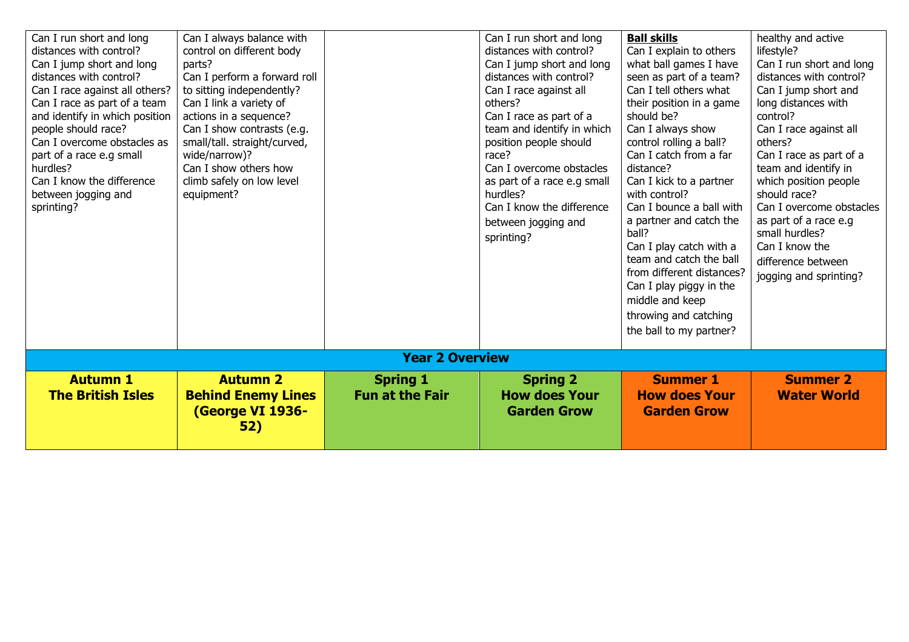| Can I run short and long<br>distances with control?<br>Can I jump short and long<br>distances with control?<br>Can I race against all others?<br>Can I race as part of a team<br>and identify in which position<br>people should race?<br>Can I overcome obstacles as<br>part of a race e.g small<br>hurdles?<br>Can I know the difference<br>between jogging and<br>sprinting? | Can I always balance with<br>control on different body<br>parts?<br>Can I perform a forward roll<br>to sitting independently?<br>Can I link a variety of<br>actions in a sequence?<br>Can I show contrasts (e.g.<br>small/tall. straight/curved,<br>wide/narrow)?<br>Can I show others how<br>climb safely on low level<br>equipment? |                                           | Can I run short and long<br>distances with control?<br>Can I jump short and long<br>distances with control?<br>Can I race against all<br>others?<br>Can I race as part of a<br>team and identify in which<br>position people should<br>race?<br>Can I overcome obstacles<br>as part of a race e.g small<br>hurdles?<br>Can I know the difference<br>between jogging and<br>sprinting? | <b>Ball skills</b><br>Can I explain to others<br>what ball games I have<br>seen as part of a team?<br>Can I tell others what<br>their position in a game<br>should be?<br>Can I always show<br>control rolling a ball?<br>Can I catch from a far<br>distance?<br>Can I kick to a partner<br>with control?<br>Can I bounce a ball with<br>a partner and catch the<br>ball?<br>Can I play catch with a<br>team and catch the ball<br>from different distances?<br>Can I play piggy in the<br>middle and keep<br>throwing and catching<br>the ball to my partner? | healthy and active<br>lifestyle?<br>Can I run short and long<br>distances with control?<br>Can I jump short and<br>long distances with<br>control?<br>Can I race against all<br>others?<br>Can I race as part of a<br>team and identify in<br>which position people<br>should race?<br>Can I overcome obstacles<br>as part of a race e.g<br>small hurdles?<br>Can I know the<br>difference between<br>jogging and sprinting? |  |  |  |  |
|---------------------------------------------------------------------------------------------------------------------------------------------------------------------------------------------------------------------------------------------------------------------------------------------------------------------------------------------------------------------------------|---------------------------------------------------------------------------------------------------------------------------------------------------------------------------------------------------------------------------------------------------------------------------------------------------------------------------------------|-------------------------------------------|---------------------------------------------------------------------------------------------------------------------------------------------------------------------------------------------------------------------------------------------------------------------------------------------------------------------------------------------------------------------------------------|----------------------------------------------------------------------------------------------------------------------------------------------------------------------------------------------------------------------------------------------------------------------------------------------------------------------------------------------------------------------------------------------------------------------------------------------------------------------------------------------------------------------------------------------------------------|------------------------------------------------------------------------------------------------------------------------------------------------------------------------------------------------------------------------------------------------------------------------------------------------------------------------------------------------------------------------------------------------------------------------------|--|--|--|--|
|                                                                                                                                                                                                                                                                                                                                                                                 | <b>Year 2 Overview</b>                                                                                                                                                                                                                                                                                                                |                                           |                                                                                                                                                                                                                                                                                                                                                                                       |                                                                                                                                                                                                                                                                                                                                                                                                                                                                                                                                                                |                                                                                                                                                                                                                                                                                                                                                                                                                              |  |  |  |  |
| <b>Autumn 1</b><br><b>The British Isles</b>                                                                                                                                                                                                                                                                                                                                     | <b>Autumn 2</b><br><b>Behind Enemy Lines</b><br>(George VI 1936-<br>52)                                                                                                                                                                                                                                                               | <b>Spring 1</b><br><b>Fun at the Fair</b> | <b>Spring 2</b><br><b>How does Your</b><br><b>Garden Grow</b>                                                                                                                                                                                                                                                                                                                         | <b>Summer 1</b><br><b>How does Your</b><br><b>Garden Grow</b>                                                                                                                                                                                                                                                                                                                                                                                                                                                                                                  | <b>Summer 2</b><br><b>Water World</b>                                                                                                                                                                                                                                                                                                                                                                                        |  |  |  |  |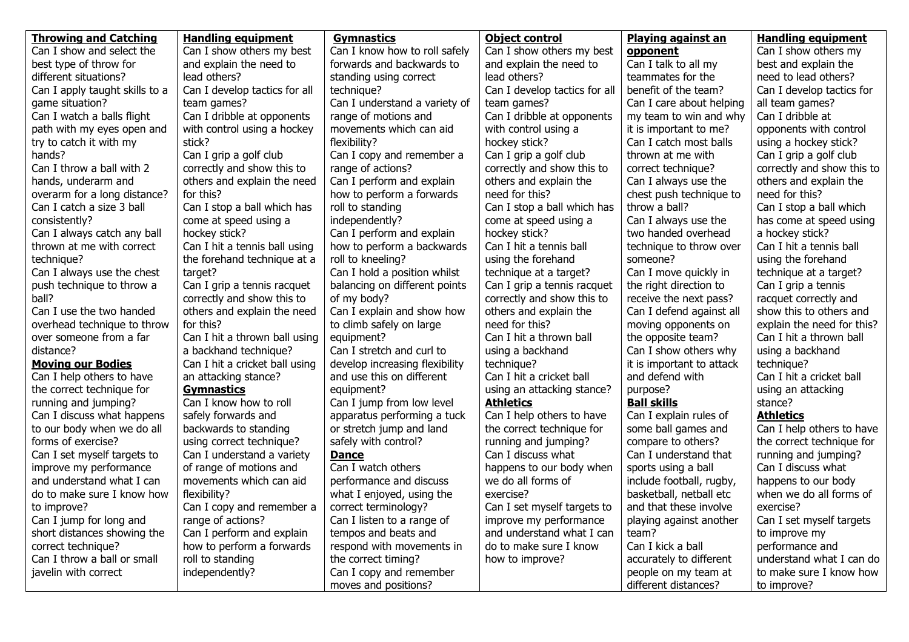| <b>Throwing and Catching</b>   | <b>Handling equipment</b>      | <b>Gymnastics</b>              | <b>Object control</b>         | <b>Playing against an</b> | <b>Handling equipment</b>  |
|--------------------------------|--------------------------------|--------------------------------|-------------------------------|---------------------------|----------------------------|
| Can I show and select the      | Can I show others my best      | Can I know how to roll safely  | Can I show others my best     | opponent                  | Can I show others my       |
| best type of throw for         | and explain the need to        | forwards and backwards to      | and explain the need to       | Can I talk to all my      | best and explain the       |
| different situations?          | lead others?                   | standing using correct         | lead others?                  | teammates for the         | need to lead others?       |
| Can I apply taught skills to a | Can I develop tactics for all  | technique?                     | Can I develop tactics for all | benefit of the team?      | Can I develop tactics for  |
| game situation?                | team games?                    | Can I understand a variety of  | team games?                   | Can I care about helping  | all team games?            |
| Can I watch a balls flight     | Can I dribble at opponents     | range of motions and           | Can I dribble at opponents    | my team to win and why    | Can I dribble at           |
| path with my eyes open and     | with control using a hockey    | movements which can aid        | with control using a          | it is important to me?    | opponents with control     |
| try to catch it with my        | stick?                         | flexibility?                   | hockey stick?                 | Can I catch most balls    | using a hockey stick?      |
| hands?                         | Can I grip a golf club         | Can I copy and remember a      | Can I grip a golf club        | thrown at me with         | Can I grip a golf club     |
| Can I throw a ball with 2      | correctly and show this to     | range of actions?              | correctly and show this to    | correct technique?        | correctly and show this to |
| hands, underarm and            | others and explain the need    | Can I perform and explain      | others and explain the        | Can I always use the      | others and explain the     |
| overarm for a long distance?   | for this?                      | how to perform a forwards      | need for this?                | chest push technique to   | need for this?             |
| Can I catch a size 3 ball      | Can I stop a ball which has    | roll to standing               | Can I stop a ball which has   | throw a ball?             | Can I stop a ball which    |
| consistently?                  | come at speed using a          | independently?                 | come at speed using a         | Can I always use the      | has come at speed using    |
| Can I always catch any ball    | hockey stick?                  | Can I perform and explain      | hockey stick?                 | two handed overhead       | a hockey stick?            |
| thrown at me with correct      | Can I hit a tennis ball using  | how to perform a backwards     | Can I hit a tennis ball       | technique to throw over   | Can I hit a tennis ball    |
| technique?                     | the forehand technique at a    | roll to kneeling?              | using the forehand            | someone?                  | using the forehand         |
| Can I always use the chest     | target?                        | Can I hold a position whilst   | technique at a target?        | Can I move quickly in     | technique at a target?     |
| push technique to throw a      | Can I grip a tennis racquet    | balancing on different points  | Can I grip a tennis racquet   | the right direction to    | Can I grip a tennis        |
| ball?                          | correctly and show this to     | of my body?                    | correctly and show this to    | receive the next pass?    | racquet correctly and      |
| Can I use the two handed       | others and explain the need    | Can I explain and show how     | others and explain the        | Can I defend against all  | show this to others and    |
| overhead technique to throw    | for this?                      | to climb safely on large       | need for this?                | moving opponents on       | explain the need for this? |
| over someone from a far        | Can I hit a thrown ball using  | equipment?                     | Can I hit a thrown ball       | the opposite team?        | Can I hit a thrown ball    |
| distance?                      | a backhand technique?          | Can I stretch and curl to      | using a backhand              | Can I show others why     | using a backhand           |
| <b>Moving our Bodies</b>       | Can I hit a cricket ball using | develop increasing flexibility | technique?                    | it is important to attack | technique?                 |
| Can I help others to have      | an attacking stance?           | and use this on different      | Can I hit a cricket ball      | and defend with           | Can I hit a cricket ball   |
| the correct technique for      | <b>Gymnastics</b>              | equipment?                     | using an attacking stance?    | purpose?                  | using an attacking         |
| running and jumping?           | Can I know how to roll         | Can I jump from low level      | <b>Athletics</b>              | <b>Ball skills</b>        | stance?                    |
| Can I discuss what happens     | safely forwards and            | apparatus performing a tuck    | Can I help others to have     | Can I explain rules of    | <b>Athletics</b>           |
| to our body when we do all     | backwards to standing          | or stretch jump and land       | the correct technique for     | some ball games and       | Can I help others to have  |
| forms of exercise?             | using correct technique?       | safely with control?           | running and jumping?          | compare to others?        | the correct technique for  |
| Can I set myself targets to    | Can I understand a variety     | <b>Dance</b>                   | Can I discuss what            | Can I understand that     | running and jumping?       |
| improve my performance         | of range of motions and        | Can I watch others             | happens to our body when      | sports using a ball       | Can I discuss what         |
| and understand what I can      | movements which can aid        | performance and discuss        | we do all forms of            | include football, rugby,  | happens to our body        |
| do to make sure I know how     | flexibility?                   | what I enjoyed, using the      | exercise?                     | basketball, netball etc   | when we do all forms of    |
| to improve?                    | Can I copy and remember a      | correct terminology?           | Can I set myself targets to   | and that these involve    | exercise?                  |
| Can I jump for long and        | range of actions?              | Can I listen to a range of     | improve my performance        | playing against another   | Can I set myself targets   |
| short distances showing the    | Can I perform and explain      | tempos and beats and           | and understand what I can     | team?                     | to improve my              |
| correct technique?             | how to perform a forwards      | respond with movements in      | do to make sure I know        | Can I kick a ball         | performance and            |
| Can I throw a ball or small    | roll to standing               | the correct timing?            | how to improve?               | accurately to different   | understand what I can do   |
| javelin with correct           | independently?                 | Can I copy and remember        |                               | people on my team at      | to make sure I know how    |
|                                |                                | moves and positions?           |                               | different distances?      | to improve?                |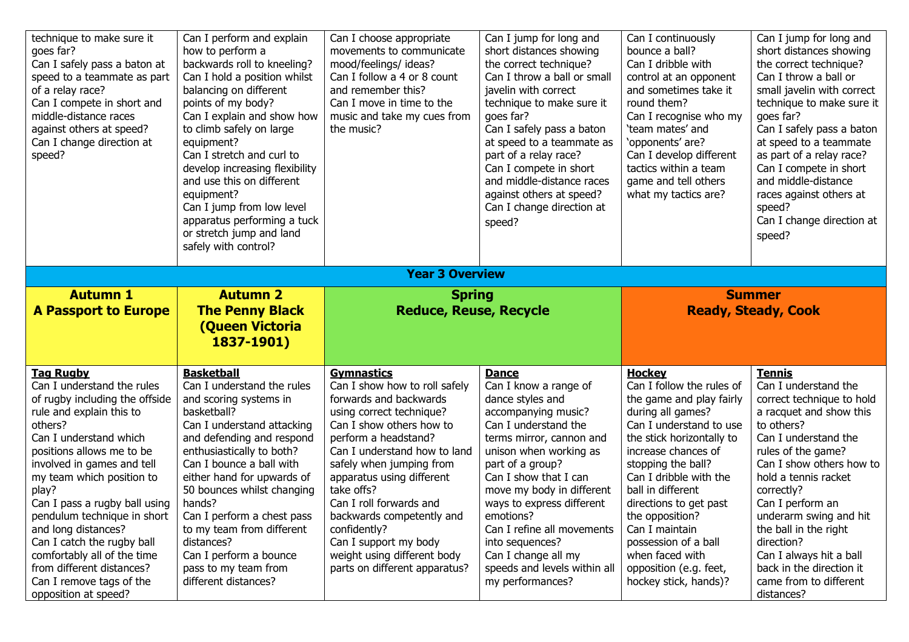| technique to make sure it<br>goes far?<br>Can I safely pass a baton at<br>speed to a teammate as part<br>of a relay race?<br>Can I compete in short and<br>middle-distance races<br>against others at speed?<br>Can I change direction at<br>speed?                                                                                                                                                                                                                                     | Can I perform and explain<br>how to perform a<br>backwards roll to kneeling?<br>Can I hold a position whilst<br>balancing on different<br>points of my body?<br>Can I explain and show how<br>to climb safely on large<br>equipment?<br>Can I stretch and curl to<br>develop increasing flexibility<br>and use this on different<br>equipment?<br>Can I jump from low level<br>apparatus performing a tuck<br>or stretch jump and land<br>safely with control? | Can I choose appropriate<br>movements to communicate<br>mood/feelings/ ideas?<br>Can I follow a 4 or 8 count<br>and remember this?<br>Can I move in time to the<br>music and take my cues from<br>the music?                                                                                                                                                                                                                         | Can I jump for long and<br>short distances showing<br>the correct technique?<br>Can I throw a ball or small<br>javelin with correct<br>technique to make sure it<br>goes far?<br>Can I safely pass a baton<br>at speed to a teammate as<br>part of a relay race?<br>Can I compete in short<br>and middle-distance races<br>against others at speed?<br>Can I change direction at<br>speed?                     | Can I continuously<br>bounce a ball?<br>Can I dribble with<br>control at an opponent<br>and sometimes take it<br>round them?<br>Can I recognise who my<br>'team mates' and<br>'opponents' are?<br>Can I develop different<br>tactics within a team<br>game and tell others<br>what my tactics are?                                                                                                           | Can I jump for long and<br>short distances showing<br>the correct technique?<br>Can I throw a ball or<br>small javelin with correct<br>technique to make sure it<br>goes far?<br>Can I safely pass a baton<br>at speed to a teammate<br>as part of a relay race?<br>Can I compete in short<br>and middle-distance<br>races against others at<br>speed?<br>Can I change direction at<br>speed?                   |  |
|-----------------------------------------------------------------------------------------------------------------------------------------------------------------------------------------------------------------------------------------------------------------------------------------------------------------------------------------------------------------------------------------------------------------------------------------------------------------------------------------|----------------------------------------------------------------------------------------------------------------------------------------------------------------------------------------------------------------------------------------------------------------------------------------------------------------------------------------------------------------------------------------------------------------------------------------------------------------|--------------------------------------------------------------------------------------------------------------------------------------------------------------------------------------------------------------------------------------------------------------------------------------------------------------------------------------------------------------------------------------------------------------------------------------|----------------------------------------------------------------------------------------------------------------------------------------------------------------------------------------------------------------------------------------------------------------------------------------------------------------------------------------------------------------------------------------------------------------|--------------------------------------------------------------------------------------------------------------------------------------------------------------------------------------------------------------------------------------------------------------------------------------------------------------------------------------------------------------------------------------------------------------|-----------------------------------------------------------------------------------------------------------------------------------------------------------------------------------------------------------------------------------------------------------------------------------------------------------------------------------------------------------------------------------------------------------------|--|
| <b>Year 3 Overview</b>                                                                                                                                                                                                                                                                                                                                                                                                                                                                  |                                                                                                                                                                                                                                                                                                                                                                                                                                                                |                                                                                                                                                                                                                                                                                                                                                                                                                                      |                                                                                                                                                                                                                                                                                                                                                                                                                |                                                                                                                                                                                                                                                                                                                                                                                                              |                                                                                                                                                                                                                                                                                                                                                                                                                 |  |
| <b>Autumn 1</b><br><b>A Passport to Europe</b>                                                                                                                                                                                                                                                                                                                                                                                                                                          | <b>Autumn 2</b><br><b>The Penny Black</b><br><b>(Queen Victoria</b><br>1837-1901)                                                                                                                                                                                                                                                                                                                                                                              | <b>Spring</b><br><b>Reduce, Reuse, Recycle</b>                                                                                                                                                                                                                                                                                                                                                                                       |                                                                                                                                                                                                                                                                                                                                                                                                                |                                                                                                                                                                                                                                                                                                                                                                                                              | <b>Summer</b><br><b>Ready, Steady, Cook</b>                                                                                                                                                                                                                                                                                                                                                                     |  |
| <b>Tag Rugby</b><br>Can I understand the rules<br>of rugby including the offside<br>rule and explain this to<br>others?<br>Can I understand which<br>positions allows me to be<br>involved in games and tell<br>my team which position to<br>play?<br>Can I pass a rugby ball using<br>pendulum technique in short<br>and long distances?<br>Can I catch the rugby ball<br>comfortably all of the time<br>from different distances?<br>Can I remove tags of the<br>opposition at speed? | <b>Basketball</b><br>Can I understand the rules<br>and scoring systems in<br>basketball?<br>Can I understand attacking<br>and defending and respond<br>enthusiastically to both?<br>Can I bounce a ball with<br>either hand for upwards of<br>50 bounces whilst changing<br>hands?<br>Can I perform a chest pass<br>to my team from different<br>distances?<br>Can I perform a bounce<br>pass to my team from<br>different distances?                          | <b>Gymnastics</b><br>Can I show how to roll safely<br>forwards and backwards<br>using correct technique?<br>Can I show others how to<br>perform a headstand?<br>Can I understand how to land<br>safely when jumping from<br>apparatus using different<br>take offs?<br>Can I roll forwards and<br>backwards competently and<br>confidently?<br>Can I support my body<br>weight using different body<br>parts on different apparatus? | <b>Dance</b><br>Can I know a range of<br>dance styles and<br>accompanying music?<br>Can I understand the<br>terms mirror, cannon and<br>unison when working as<br>part of a group?<br>Can I show that I can<br>move my body in different<br>ways to express different<br>emotions?<br>Can I refine all movements<br>into sequences?<br>Can I change all my<br>speeds and levels within all<br>my performances? | <b>Hockey</b><br>Can I follow the rules of<br>the game and play fairly<br>during all games?<br>Can I understand to use<br>the stick horizontally to<br>increase chances of<br>stopping the ball?<br>Can I dribble with the<br>ball in different<br>directions to get past<br>the opposition?<br>Can I maintain<br>possession of a ball<br>when faced with<br>opposition (e.g. feet,<br>hockey stick, hands)? | <b>Tennis</b><br>Can I understand the<br>correct technique to hold<br>a racquet and show this<br>to others?<br>Can I understand the<br>rules of the game?<br>Can I show others how to<br>hold a tennis racket<br>correctly?<br>Can I perform an<br>underarm swing and hit<br>the ball in the right<br>direction?<br>Can I always hit a ball<br>back in the direction it<br>came from to different<br>distances? |  |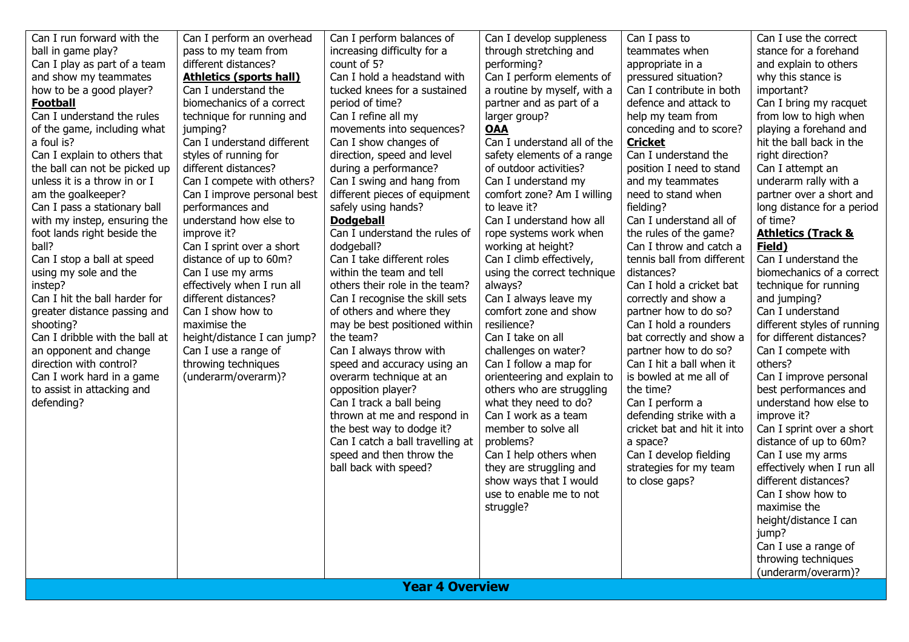| Can I run forward with the           | Can I perform an overhead                | Can I perform balances of                         | Can I develop suppleness                           | Can I pass to                                     | Can I use the correct                     |
|--------------------------------------|------------------------------------------|---------------------------------------------------|----------------------------------------------------|---------------------------------------------------|-------------------------------------------|
| ball in game play?                   | pass to my team from                     | increasing difficulty for a                       | through stretching and                             | teammates when                                    | stance for a forehand                     |
| Can I play as part of a team         | different distances?                     | count of 5?                                       | performing?                                        | appropriate in a                                  | and explain to others                     |
| and show my teammates                | <b>Athletics (sports hall)</b>           | Can I hold a headstand with                       | Can I perform elements of                          | pressured situation?                              | why this stance is                        |
| how to be a good player?             | Can I understand the                     | tucked knees for a sustained                      | a routine by myself, with a                        | Can I contribute in both                          | important?                                |
| <b>Football</b>                      | biomechanics of a correct                | period of time?                                   | partner and as part of a                           | defence and attack to                             | Can I bring my racquet                    |
| Can I understand the rules           | technique for running and                | Can I refine all my                               | larger group?                                      | help my team from                                 | from low to high when                     |
| of the game, including what          | jumping?                                 | movements into sequences?                         | <u>OAA</u>                                         | conceding and to score?                           | playing a forehand and                    |
| a foul is?                           | Can I understand different               | Can I show changes of                             | Can I understand all of the                        | <b>Cricket</b>                                    | hit the ball back in the                  |
| Can I explain to others that         | styles of running for                    | direction, speed and level                        | safety elements of a range                         | Can I understand the                              | right direction?                          |
| the ball can not be picked up        | different distances?                     | during a performance?                             | of outdoor activities?                             | position I need to stand                          | Can I attempt an                          |
| unless it is a throw in or I         | Can I compete with others?               | Can I swing and hang from                         | Can I understand my                                | and my teammates                                  | underarm rally with a                     |
| am the goalkeeper?                   | Can I improve personal best              | different pieces of equipment                     | comfort zone? Am I willing                         | need to stand when                                | partner over a short and                  |
| Can I pass a stationary ball         | performances and                         | safely using hands?                               | to leave it?                                       | fielding?                                         | long distance for a period                |
| with my instep, ensuring the         | understand how else to                   | <b>Dodgeball</b><br>Can I understand the rules of | Can I understand how all<br>rope systems work when | Can I understand all of<br>the rules of the game? | of time?<br><b>Athletics (Track &amp;</b> |
| foot lands right beside the<br>ball? | improve it?<br>Can I sprint over a short | dodgeball?                                        |                                                    | Can I throw and catch a                           | Field)                                    |
| Can I stop a ball at speed           | distance of up to 60m?                   | Can I take different roles                        | working at height?<br>Can I climb effectively,     | tennis ball from different                        | Can I understand the                      |
| using my sole and the                | Can I use my arms                        | within the team and tell                          | using the correct technique                        | distances?                                        | biomechanics of a correct                 |
| instep?                              | effectively when I run all               | others their role in the team?                    | always?                                            | Can I hold a cricket bat                          | technique for running                     |
| Can I hit the ball harder for        | different distances?                     | Can I recognise the skill sets                    | Can I always leave my                              | correctly and show a                              | and jumping?                              |
| greater distance passing and         | Can I show how to                        | of others and where they                          | comfort zone and show                              | partner how to do so?                             | Can I understand                          |
| shooting?                            | maximise the                             | may be best positioned within                     | resilience?                                        | Can I hold a rounders                             | different styles of running               |
| Can I dribble with the ball at       | height/distance I can jump?              | the team?                                         | Can I take on all                                  | bat correctly and show a                          | for different distances?                  |
| an opponent and change               | Can I use a range of                     | Can I always throw with                           | challenges on water?                               | partner how to do so?                             | Can I compete with                        |
| direction with control?              | throwing techniques                      | speed and accuracy using an                       | Can I follow a map for                             | Can I hit a ball when it                          | others?                                   |
| Can I work hard in a game            | (underarm/overarm)?                      | overarm technique at an                           | orienteering and explain to                        | is bowled at me all of                            | Can I improve personal                    |
| to assist in attacking and           |                                          | opposition player?                                | others who are struggling                          | the time?                                         | best performances and                     |
| defending?                           |                                          | Can I track a ball being                          | what they need to do?                              | Can I perform a                                   | understand how else to                    |
|                                      |                                          | thrown at me and respond in                       | Can I work as a team                               | defending strike with a                           | improve it?                               |
|                                      |                                          | the best way to dodge it?                         | member to solve all                                | cricket bat and hit it into                       | Can I sprint over a short                 |
|                                      |                                          | Can I catch a ball travelling at                  | problems?                                          | a space?                                          | distance of up to 60m?                    |
|                                      |                                          | speed and then throw the                          | Can I help others when                             | Can I develop fielding                            | Can I use my arms                         |
|                                      |                                          | ball back with speed?                             | they are struggling and                            | strategies for my team                            | effectively when I run all                |
|                                      |                                          |                                                   | show ways that I would                             | to close gaps?                                    | different distances?                      |
|                                      |                                          |                                                   | use to enable me to not                            |                                                   | Can I show how to                         |
|                                      |                                          |                                                   | struggle?                                          |                                                   | maximise the                              |
|                                      |                                          |                                                   |                                                    |                                                   | height/distance I can                     |
|                                      |                                          |                                                   |                                                    |                                                   | jump?                                     |
|                                      |                                          |                                                   |                                                    |                                                   | Can I use a range of                      |
|                                      |                                          |                                                   |                                                    |                                                   | throwing techniques                       |
|                                      |                                          |                                                   |                                                    |                                                   | (underarm/overarm)?                       |
|                                      |                                          | <b>Year 4 Overview</b>                            |                                                    |                                                   |                                           |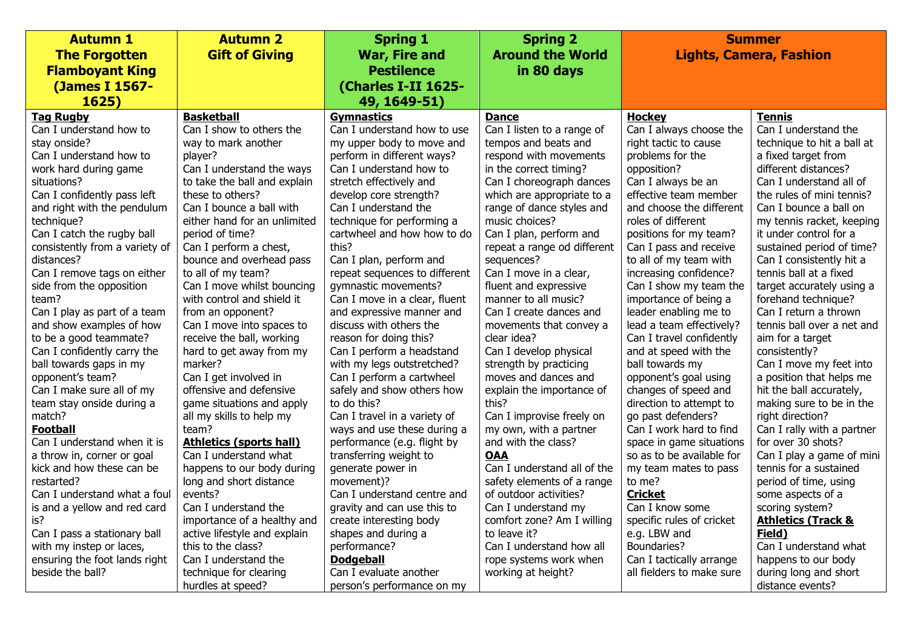| <b>Autumn 1</b>                | <b>Autumn 2</b>                | <b>Spring 1</b>               | <b>Spring 2</b>             |                           | <b>Summer</b>                  |
|--------------------------------|--------------------------------|-------------------------------|-----------------------------|---------------------------|--------------------------------|
| <b>The Forgotten</b>           | <b>Gift of Giving</b>          | <b>War, Fire and</b>          | <b>Around the World</b>     |                           | <b>Lights, Camera, Fashion</b> |
| <b>Flamboyant King</b>         |                                | <b>Pestilence</b>             | in 80 days                  |                           |                                |
| (James I 1567-                 |                                | (Charles I-II 1625-           |                             |                           |                                |
| 1625)                          |                                | 49, 1649-51)                  |                             |                           |                                |
| <b>Tag Rugby</b>               | <b>Basketball</b>              | <b>Gymnastics</b>             | <b>Dance</b>                | <b>Hockey</b>             | Tennis                         |
| Can I understand how to        | Can I show to others the       | Can I understand how to use   | Can I listen to a range of  | Can I always choose the   | Can I understand the           |
| stay onside?                   | way to mark another            | my upper body to move and     | tempos and beats and        | right tactic to cause     | technique to hit a ball at     |
| Can I understand how to        | player?                        | perform in different ways?    | respond with movements      | problems for the          | a fixed target from            |
| work hard during game          | Can I understand the ways      | Can I understand how to       | in the correct timing?      | opposition?               | different distances?           |
| situations?                    | to take the ball and explain   | stretch effectively and       | Can I choreograph dances    | Can I always be an        | Can I understand all of        |
| Can I confidently pass left    | these to others?               | develop core strength?        | which are appropriate to a  | effective team member     | the rules of mini tennis?      |
| and right with the pendulum    | Can I bounce a ball with       | Can I understand the          | range of dance styles and   | and choose the different  | Can I bounce a ball on         |
| technique?                     | either hand for an unlimited   | technique for performing a    | music choices?              | roles of different        | my tennis racket, keeping      |
| Can I catch the rugby ball     | period of time?                | cartwheel and how how to do   | Can I plan, perform and     | positions for my team?    | it under control for a         |
| consistently from a variety of | Can I perform a chest,         | this?                         | repeat a range od different | Can I pass and receive    | sustained period of time?      |
| distances?                     | bounce and overhead pass       | Can I plan, perform and       | sequences?                  | to all of my team with    | Can I consistently hit a       |
| Can I remove tags on either    | to all of my team?             | repeat sequences to different | Can I move in a clear,      | increasing confidence?    | tennis ball at a fixed         |
| side from the opposition       | Can I move whilst bouncing     | gymnastic movements?          | fluent and expressive       | Can I show my team the    | target accurately using a      |
| team?                          | with control and shield it     | Can I move in a clear, fluent | manner to all music?        | importance of being a     | forehand technique?            |
| Can I play as part of a team   | from an opponent?              | and expressive manner and     | Can I create dances and     | leader enabling me to     | Can I return a thrown          |
| and show examples of how       | Can I move into spaces to      | discuss with others the       | movements that convey a     | lead a team effectively?  | tennis ball over a net and     |
| to be a good teammate?         | receive the ball, working      | reason for doing this?        | clear idea?                 | Can I travel confidently  | aim for a target               |
| Can I confidently carry the    | hard to get away from my       | Can I perform a headstand     | Can I develop physical      | and at speed with the     | consistently?                  |
| ball towards gaps in my        | marker?                        | with my legs outstretched?    | strength by practicing      | ball towards my           | Can I move my feet into        |
| opponent's team?               | Can I get involved in          | Can I perform a cartwheel     | moves and dances and        | opponent's goal using     | a position that helps me       |
| Can I make sure all of my      | offensive and defensive        | safely and show others how    | explain the importance of   | changes of speed and      | hit the ball accurately,       |
| team stay onside during a      | game situations and apply      | to do this?                   | this?                       | direction to attempt to   | making sure to be in the       |
| match?                         | all my skills to help my       | Can I travel in a variety of  | Can I improvise freely on   | go past defenders?        | right direction?               |
| <b>Football</b>                | team?                          | ways and use these during a   | my own, with a partner      | Can I work hard to find   | Can I rally with a partner     |
| Can I understand when it is    | <b>Athletics (sports hall)</b> | performance (e.g. flight by   | and with the class?         | space in game situations  | for over 30 shots?             |
| a throw in, corner or goal     | Can I understand what          | transferring weight to        | <b>OAA</b>                  | so as to be available for | Can I play a game of mini      |
| kick and how these can be      | happens to our body during     | generate power in             | Can I understand all of the | my team mates to pass     | tennis for a sustained         |
| restarted?                     | long and short distance        | movement)?                    | safety elements of a range  | to me?                    | period of time, using          |
| Can I understand what a foul   | events?                        | Can I understand centre and   | of outdoor activities?      | <b>Cricket</b>            | some aspects of a              |
| is and a yellow and red card   | Can I understand the           | gravity and can use this to   | Can I understand my         | Can I know some           | scoring system?                |
| is?                            | importance of a healthy and    | create interesting body       | comfort zone? Am I willing  | specific rules of cricket | <b>Athletics (Track &amp;</b>  |
| Can I pass a stationary ball   | active lifestyle and explain   | shapes and during a           | to leave it?                | e.g. LBW and              | Field)                         |
| with my instep or laces,       | this to the class?             | performance?                  | Can I understand how all    | Boundaries?               | Can I understand what          |
| ensuring the foot lands right  | Can I understand the           | <b>Dodgeball</b>              | rope systems work when      | Can I tactically arrange  | happens to our body            |
| beside the ball?               | technique for clearing         | Can I evaluate another        | working at height?          | all fielders to make sure | during long and short          |
|                                | hurdles at speed?              | person's performance on my    |                             |                           | distance events?               |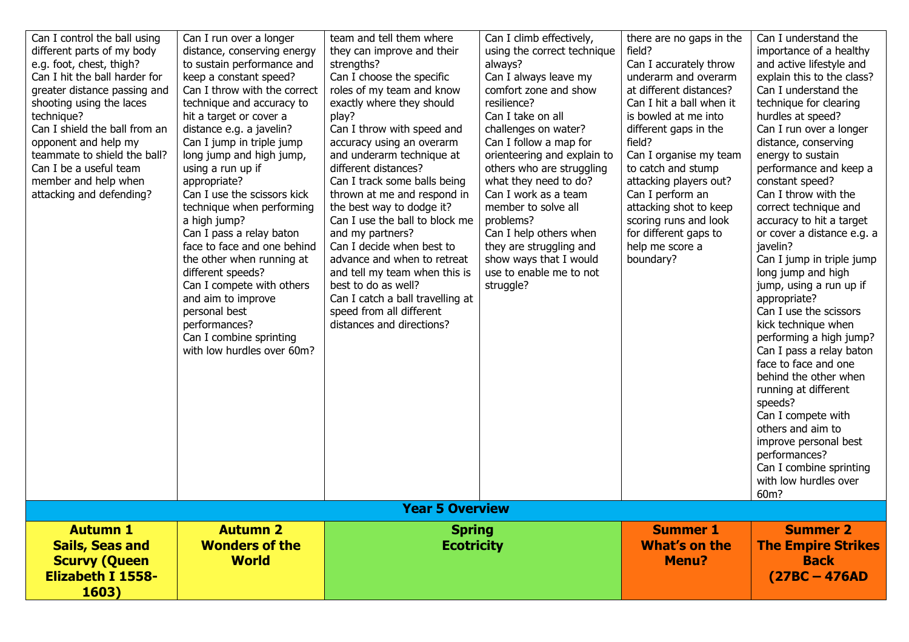| Can I control the ball using  | Can I run over a longer      | team and tell them where         | Can I climb effectively,    | there are no gaps in the | Can I understand the       |
|-------------------------------|------------------------------|----------------------------------|-----------------------------|--------------------------|----------------------------|
| different parts of my body    | distance, conserving energy  | they can improve and their       | using the correct technique | field?                   | importance of a healthy    |
| e.g. foot, chest, thigh?      | to sustain performance and   | strengths?                       | always?                     | Can I accurately throw   | and active lifestyle and   |
| Can I hit the ball harder for | keep a constant speed?       | Can I choose the specific        | Can I always leave my       | underarm and overarm     | explain this to the class? |
| greater distance passing and  | Can I throw with the correct | roles of my team and know        | comfort zone and show       | at different distances?  | Can I understand the       |
| shooting using the laces      | technique and accuracy to    | exactly where they should        | resilience?                 | Can I hit a ball when it | technique for clearing     |
| technique?                    | hit a target or cover a      | play?                            | Can I take on all           | is bowled at me into     | hurdles at speed?          |
| Can I shield the ball from an | distance e.g. a javelin?     | Can I throw with speed and       | challenges on water?        | different gaps in the    | Can I run over a longer    |
| opponent and help my          | Can I jump in triple jump    | accuracy using an overarm        | Can I follow a map for      | field?                   | distance, conserving       |
| teammate to shield the ball?  | long jump and high jump,     | and underarm technique at        | orienteering and explain to | Can I organise my team   | energy to sustain          |
| Can I be a useful team        | using a run up if            | different distances?             | others who are struggling   | to catch and stump       | performance and keep a     |
| member and help when          | appropriate?                 | Can I track some balls being     | what they need to do?       | attacking players out?   | constant speed?            |
| attacking and defending?      | Can I use the scissors kick  | thrown at me and respond in      | Can I work as a team        | Can I perform an         | Can I throw with the       |
|                               | technique when performing    | the best way to dodge it?        | member to solve all         | attacking shot to keep   | correct technique and      |
|                               | a high jump?                 | Can I use the ball to block me   | problems?                   | scoring runs and look    | accuracy to hit a target   |
|                               | Can I pass a relay baton     | and my partners?                 | Can I help others when      | for different gaps to    | or cover a distance e.g. a |
|                               | face to face and one behind  | Can I decide when best to        | they are struggling and     | help me score a          | javelin?                   |
|                               | the other when running at    | advance and when to retreat      | show ways that I would      | boundary?                | Can I jump in triple jump  |
|                               | different speeds?            | and tell my team when this is    | use to enable me to not     |                          | long jump and high         |
|                               | Can I compete with others    | best to do as well?              | struggle?                   |                          | jump, using a run up if    |
|                               | and aim to improve           | Can I catch a ball travelling at |                             |                          | appropriate?               |
|                               | personal best                | speed from all different         |                             |                          | Can I use the scissors     |
|                               | performances?                | distances and directions?        |                             |                          | kick technique when        |
|                               | Can I combine sprinting      |                                  |                             |                          | performing a high jump?    |
|                               | with low hurdles over 60m?   |                                  |                             |                          | Can I pass a relay baton   |
|                               |                              |                                  |                             |                          | face to face and one       |
|                               |                              |                                  |                             |                          | behind the other when      |
|                               |                              |                                  |                             |                          | running at different       |
|                               |                              |                                  |                             |                          | speeds?                    |
|                               |                              |                                  |                             |                          | Can I compete with         |
|                               |                              |                                  |                             |                          | others and aim to          |
|                               |                              |                                  |                             |                          | improve personal best      |
|                               |                              |                                  |                             |                          | performances?              |
|                               |                              |                                  |                             |                          | Can I combine sprinting    |
|                               |                              |                                  |                             |                          | with low hurdles over      |
|                               |                              |                                  |                             |                          | 60m?                       |
|                               |                              | <b>Year 5 Overview</b>           |                             |                          |                            |
| <b>Autumn 1</b>               | <b>Autumn 2</b>              | <b>Spring</b>                    |                             | <b>Summer 1</b>          | <b>Summer 2</b>            |
| <b>Sails, Seas and</b>        | <b>Wonders of the</b>        | <b>Ecotricity</b>                |                             | What's on the            | <b>The Empire Strikes</b>  |
|                               | <b>World</b>                 |                                  |                             |                          | <b>Back</b>                |
| <b>Scurvy (Queen</b>          |                              |                                  |                             | <b>Menu?</b>             |                            |
| <b>Elizabeth I 1558-</b>      |                              |                                  |                             |                          | $(27BC - 476AD)$           |
| 1603)                         |                              |                                  |                             |                          |                            |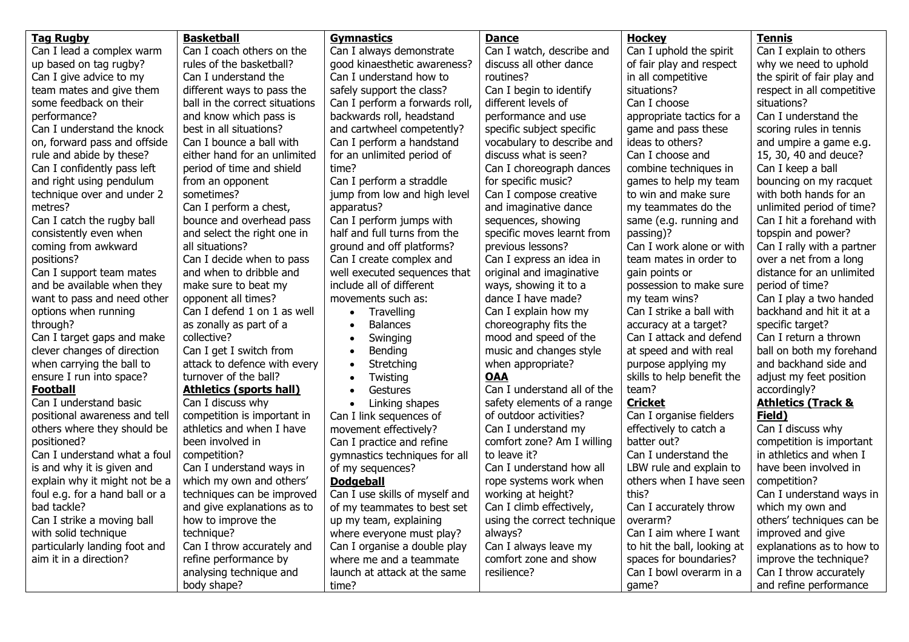| <b>Tag Rugby</b>               | <b>Basketball</b>              | <b>Gymnastics</b>              | <b>Dance</b>                | <b>Hockey</b>               | <b>Tennis</b>                 |
|--------------------------------|--------------------------------|--------------------------------|-----------------------------|-----------------------------|-------------------------------|
| Can I lead a complex warm      | Can I coach others on the      | Can I always demonstrate       | Can I watch, describe and   | Can I uphold the spirit     | Can I explain to others       |
| up based on tag rugby?         | rules of the basketball?       | good kinaesthetic awareness?   | discuss all other dance     | of fair play and respect    | why we need to uphold         |
| Can I give advice to my        | Can I understand the           | Can I understand how to        | routines?                   | in all competitive          | the spirit of fair play and   |
| team mates and give them       | different ways to pass the     | safely support the class?      | Can I begin to identify     | situations?                 | respect in all competitive    |
| some feedback on their         | ball in the correct situations | Can I perform a forwards roll, | different levels of         | Can I choose                | situations?                   |
| performance?                   | and know which pass is         | backwards roll, headstand      | performance and use         | appropriate tactics for a   | Can I understand the          |
| Can I understand the knock     | best in all situations?        | and cartwheel competently?     | specific subject specific   | game and pass these         | scoring rules in tennis       |
| on, forward pass and offside   | Can I bounce a ball with       | Can I perform a handstand      | vocabulary to describe and  | ideas to others?            | and umpire a game e.g.        |
| rule and abide by these?       | either hand for an unlimited   | for an unlimited period of     | discuss what is seen?       | Can I choose and            | 15, 30, 40 and deuce?         |
| Can I confidently pass left    | period of time and shield      | time?                          | Can I choreograph dances    | combine techniques in       | Can I keep a ball             |
| and right using pendulum       | from an opponent               | Can I perform a straddle       | for specific music?         | games to help my team       | bouncing on my racquet        |
| technique over and under 2     | sometimes?                     | jump from low and high level   | Can I compose creative      | to win and make sure        | with both hands for an        |
| metres?                        | Can I perform a chest,         | apparatus?                     | and imaginative dance       | my teammates do the         | unlimited period of time?     |
| Can I catch the rugby ball     | bounce and overhead pass       | Can I perform jumps with       | sequences, showing          | same (e.g. running and      | Can I hit a forehand with     |
| consistently even when         | and select the right one in    | half and full turns from the   | specific moves learnt from  | passing)?                   | topspin and power?            |
| coming from awkward            | all situations?                | ground and off platforms?      | previous lessons?           | Can I work alone or with    | Can I rally with a partner    |
| positions?                     | Can I decide when to pass      | Can I create complex and       | Can I express an idea in    | team mates in order to      | over a net from a long        |
| Can I support team mates       | and when to dribble and        | well executed sequences that   | original and imaginative    | gain points or              | distance for an unlimited     |
| and be available when they     | make sure to beat my           | include all of different       | ways, showing it to a       | possession to make sure     | period of time?               |
| want to pass and need other    | opponent all times?            | movements such as:             | dance I have made?          | my team wins?               | Can I play a two handed       |
| options when running           | Can I defend 1 on 1 as well    | Travelling<br>$\bullet$        | Can I explain how my        | Can I strike a ball with    | backhand and hit it at a      |
| through?                       | as zonally as part of a        | <b>Balances</b>                | choreography fits the       | accuracy at a target?       | specific target?              |
| Can I target gaps and make     | collective?                    | Swinging<br>$\bullet$          | mood and speed of the       | Can I attack and defend     | Can I return a thrown         |
| clever changes of direction    | Can I get I switch from        | Bending                        | music and changes style     | at speed and with real      | ball on both my forehand      |
| when carrying the ball to      | attack to defence with every   | Stretching<br>$\bullet$        | when appropriate?           | purpose applying my         | and backhand side and         |
| ensure I run into space?       | turnover of the ball?          | Twisting                       | <b>OAA</b>                  | skills to help benefit the  | adjust my feet position       |
| <b>Football</b>                | <b>Athletics (sports hall)</b> | Gestures<br>$\bullet$          | Can I understand all of the | team?                       | accordingly?                  |
| Can I understand basic         | Can I discuss why              | Linking shapes<br>$\bullet$    | safety elements of a range  | <b>Cricket</b>              | <b>Athletics (Track &amp;</b> |
| positional awareness and tell  | competition is important in    | Can I link sequences of        | of outdoor activities?      | Can I organise fielders     | Field)                        |
| others where they should be    | athletics and when I have      | movement effectively?          | Can I understand my         | effectively to catch a      | Can I discuss why             |
| positioned?                    | been involved in               | Can I practice and refine      | comfort zone? Am I willing  | batter out?                 | competition is important      |
| Can I understand what a foul   | competition?                   | gymnastics techniques for all  | to leave it?                | Can I understand the        | in athletics and when I       |
| is and why it is given and     | Can I understand ways in       | of my sequences?               | Can I understand how all    | LBW rule and explain to     | have been involved in         |
| explain why it might not be a  | which my own and others'       | <b>Dodgeball</b>               | rope systems work when      | others when I have seen     | competition?                  |
| foul e.g. for a hand ball or a | techniques can be improved     | Can I use skills of myself and | working at height?          | this?                       | Can I understand ways in      |
| bad tackle?                    | and give explanations as to    | of my teammates to best set    | Can I climb effectively,    | Can I accurately throw      | which my own and              |
| Can I strike a moving ball     | how to improve the             | up my team, explaining         | using the correct technique | overarm?                    | others' techniques can be     |
| with solid technique           | technique?                     | where everyone must play?      | always?                     | Can I aim where I want      | improved and give             |
| particularly landing foot and  | Can I throw accurately and     | Can I organise a double play   | Can I always leave my       | to hit the ball, looking at | explanations as to how to     |
| aim it in a direction?         | refine performance by          | where me and a teammate        | comfort zone and show       | spaces for boundaries?      | improve the technique?        |
|                                | analysing technique and        | launch at attack at the same   | resilience?                 | Can I bowl overarm in a     | Can I throw accurately        |
|                                | body shape?                    | time?                          |                             | game?                       | and refine performance        |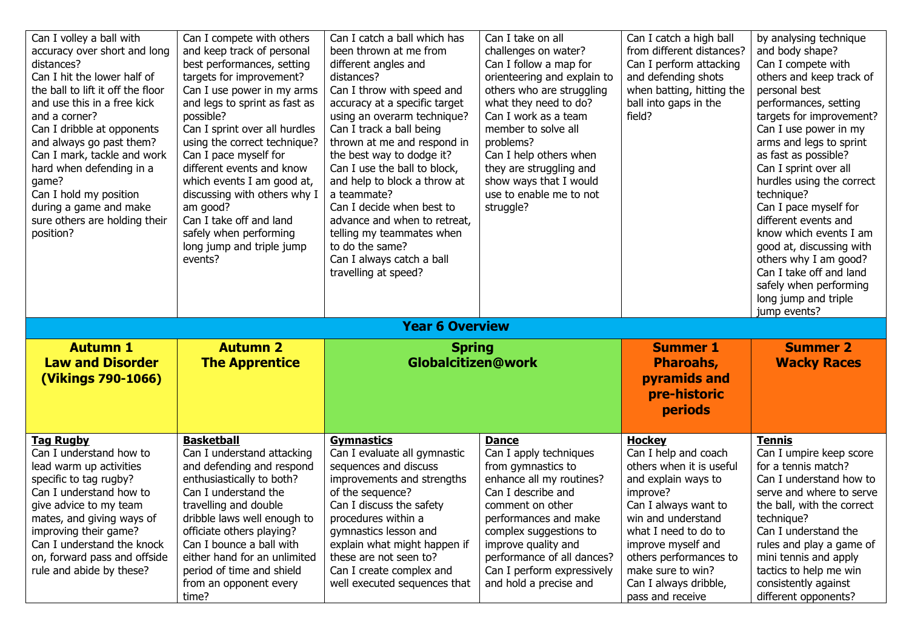| Can I volley a ball with<br>accuracy over short and long<br>distances?<br>Can I hit the lower half of<br>the ball to lift it off the floor<br>and use this in a free kick<br>and a corner?<br>Can I dribble at opponents<br>and always go past them?<br>Can I mark, tackle and work<br>hard when defending in a<br>game?<br>Can I hold my position<br>during a game and make<br>sure others are holding their<br>position? | Can I compete with others<br>and keep track of personal<br>best performances, setting<br>targets for improvement?<br>Can I use power in my arms<br>and legs to sprint as fast as<br>possible?<br>Can I sprint over all hurdles<br>using the correct technique?<br>Can I pace myself for<br>different events and know<br>which events I am good at,<br>discussing with others why I<br>am good?<br>Can I take off and land<br>safely when performing<br>long jump and triple jump<br>events? | Can I catch a ball which has<br>been thrown at me from<br>different angles and<br>distances?<br>Can I throw with speed and<br>accuracy at a specific target<br>using an overarm technique?<br>Can I track a ball being<br>thrown at me and respond in<br>the best way to dodge it?<br>Can I use the ball to block,<br>and help to block a throw at<br>a teammate?<br>Can I decide when best to<br>advance and when to retreat,<br>telling my teammates when<br>to do the same?<br>Can I always catch a ball<br>travelling at speed? | Can I take on all<br>challenges on water?<br>Can I follow a map for<br>orienteering and explain to<br>others who are struggling<br>what they need to do?<br>Can I work as a team<br>member to solve all<br>problems?<br>Can I help others when<br>they are struggling and<br>show ways that I would<br>use to enable me to not<br>struggle? | Can I catch a high ball<br>from different distances?<br>Can I perform attacking<br>and defending shots<br>when batting, hitting the<br>ball into gaps in the<br>field? | by analysing technique<br>and body shape?<br>Can I compete with<br>others and keep track of<br>personal best<br>performances, setting<br>targets for improvement?<br>Can I use power in my<br>arms and legs to sprint<br>as fast as possible?<br>Can I sprint over all<br>hurdles using the correct<br>technique?<br>Can I pace myself for<br>different events and<br>know which events I am<br>good at, discussing with<br>others why I am good?<br>Can I take off and land<br>safely when performing<br>long jump and triple |
|----------------------------------------------------------------------------------------------------------------------------------------------------------------------------------------------------------------------------------------------------------------------------------------------------------------------------------------------------------------------------------------------------------------------------|---------------------------------------------------------------------------------------------------------------------------------------------------------------------------------------------------------------------------------------------------------------------------------------------------------------------------------------------------------------------------------------------------------------------------------------------------------------------------------------------|-------------------------------------------------------------------------------------------------------------------------------------------------------------------------------------------------------------------------------------------------------------------------------------------------------------------------------------------------------------------------------------------------------------------------------------------------------------------------------------------------------------------------------------|---------------------------------------------------------------------------------------------------------------------------------------------------------------------------------------------------------------------------------------------------------------------------------------------------------------------------------------------|------------------------------------------------------------------------------------------------------------------------------------------------------------------------|--------------------------------------------------------------------------------------------------------------------------------------------------------------------------------------------------------------------------------------------------------------------------------------------------------------------------------------------------------------------------------------------------------------------------------------------------------------------------------------------------------------------------------|
|                                                                                                                                                                                                                                                                                                                                                                                                                            |                                                                                                                                                                                                                                                                                                                                                                                                                                                                                             | <b>Year 6 Overview</b>                                                                                                                                                                                                                                                                                                                                                                                                                                                                                                              |                                                                                                                                                                                                                                                                                                                                             |                                                                                                                                                                        | jump events?                                                                                                                                                                                                                                                                                                                                                                                                                                                                                                                   |
| <b>Autumn 1</b><br><b>Law and Disorder</b><br>(Vikings 790-1066)                                                                                                                                                                                                                                                                                                                                                           | <b>Autumn 2</b><br><b>The Apprentice</b>                                                                                                                                                                                                                                                                                                                                                                                                                                                    | <b>Spring</b><br><b>Globalcitizen@work</b>                                                                                                                                                                                                                                                                                                                                                                                                                                                                                          |                                                                                                                                                                                                                                                                                                                                             | <b>Summer 1</b><br><b>Pharoahs,</b><br>pyramids and<br>pre-historic<br><b>periods</b>                                                                                  | <b>Summer 2</b><br><b>Wacky Races</b>                                                                                                                                                                                                                                                                                                                                                                                                                                                                                          |
| <b>Tag Rugby</b><br>Can I understand how to<br>lead warm up activities<br>specific to tag rugby?<br>Can I understand how to                                                                                                                                                                                                                                                                                                | <b>Basketball</b><br>Can I understand attacking<br>and defending and respond<br>enthusiastically to both?<br>Can I understand the                                                                                                                                                                                                                                                                                                                                                           | <b>Gymnastics</b><br>Can I evaluate all gymnastic<br>sequences and discuss<br>improvements and strengths<br>of the sequence?                                                                                                                                                                                                                                                                                                                                                                                                        | <b>Dance</b><br>Can I apply techniques<br>from gymnastics to<br>enhance all my routines?<br>Can I describe and                                                                                                                                                                                                                              | <b>Hockey</b><br>Can I help and coach<br>others when it is useful<br>and explain ways to<br>improve?                                                                   | Tennis<br>Can I umpire keep score<br>for a tennis match?<br>Can I understand how to<br>serve and where to serve                                                                                                                                                                                                                                                                                                                                                                                                                |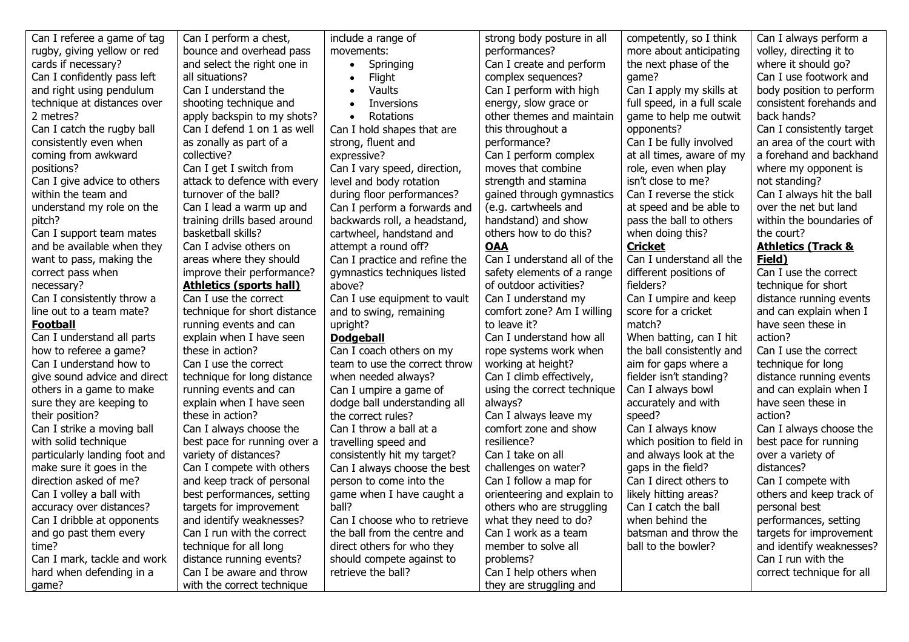| Can I referee a game of tag   | Can I perform a chest,         | include a range of            | strong body posture in all  | competently, so I think     | Can I always perform a        |
|-------------------------------|--------------------------------|-------------------------------|-----------------------------|-----------------------------|-------------------------------|
| rugby, giving yellow or red   | bounce and overhead pass       | movements:                    | performances?               | more about anticipating     | volley, directing it to       |
| cards if necessary?           | and select the right one in    | Springing<br>$\bullet$        | Can I create and perform    | the next phase of the       | where it should go?           |
| Can I confidently pass left   | all situations?                | Flight<br>$\bullet$           | complex sequences?          | game?                       | Can I use footwork and        |
| and right using pendulum      | Can I understand the           | Vaults<br>$\bullet$           | Can I perform with high     | Can I apply my skills at    | body position to perform      |
| technique at distances over   | shooting technique and         | Inversions<br>$\bullet$       | energy, slow grace or       | full speed, in a full scale | consistent forehands and      |
| 2 metres?                     | apply backspin to my shots?    | Rotations<br>$\bullet$        | other themes and maintain   | game to help me outwit      | back hands?                   |
| Can I catch the rugby ball    | Can I defend 1 on 1 as well    | Can I hold shapes that are    | this throughout a           | opponents?                  | Can I consistently target     |
| consistently even when        | as zonally as part of a        | strong, fluent and            | performance?                | Can I be fully involved     | an area of the court with     |
| coming from awkward           | collective?                    | expressive?                   | Can I perform complex       | at all times, aware of my   | a forehand and backhand       |
| positions?                    | Can I get I switch from        | Can I vary speed, direction,  | moves that combine          | role, even when play        | where my opponent is          |
| Can I give advice to others   | attack to defence with every   | level and body rotation       | strength and stamina        | isn't close to me?          | not standing?                 |
| within the team and           | turnover of the ball?          | during floor performances?    | gained through gymnastics   | Can I reverse the stick     | Can I always hit the ball     |
| understand my role on the     | Can I lead a warm up and       | Can I perform a forwards and  | (e.g. cartwheels and        | at speed and be able to     | over the net but land         |
| pitch?                        | training drills based around   | backwards roll, a headstand,  | handstand) and show         | pass the ball to others     | within the boundaries of      |
| Can I support team mates      | basketball skills?             | cartwheel, handstand and      | others how to do this?      | when doing this?            | the court?                    |
| and be available when they    | Can I advise others on         | attempt a round off?          | <b>OAA</b>                  | <b>Cricket</b>              | <b>Athletics (Track &amp;</b> |
| want to pass, making the      | areas where they should        | Can I practice and refine the | Can I understand all of the | Can I understand all the    | Field)                        |
| correct pass when             | improve their performance?     | gymnastics techniques listed  | safety elements of a range  | different positions of      | Can I use the correct         |
| necessary?                    | <b>Athletics (sports hall)</b> | above?                        | of outdoor activities?      | fielders?                   | technique for short           |
| Can I consistently throw a    | Can I use the correct          | Can I use equipment to vault  | Can I understand my         | Can I umpire and keep       | distance running events       |
| line out to a team mate?      | technique for short distance   | and to swing, remaining       | comfort zone? Am I willing  | score for a cricket         | and can explain when I        |
| <b>Football</b>               | running events and can         | upright?                      | to leave it?                | match?                      | have seen these in            |
| Can I understand all parts    | explain when I have seen       | <b>Dodgeball</b>              | Can I understand how all    | When batting, can I hit     | action?                       |
| how to referee a game?        | these in action?               | Can I coach others on my      | rope systems work when      | the ball consistently and   | Can I use the correct         |
| Can I understand how to       | Can I use the correct          | team to use the correct throw | working at height?          | aim for gaps where a        | technique for long            |
| give sound advice and direct  | technique for long distance    | when needed always?           | Can I climb effectively,    | fielder isn't standing?     | distance running events       |
| others in a game to make      | running events and can         | Can I umpire a game of        | using the correct technique | Can I always bowl           | and can explain when I        |
| sure they are keeping to      | explain when I have seen       | dodge ball understanding all  | always?                     | accurately and with         | have seen these in            |
| their position?               | these in action?               | the correct rules?            | Can I always leave my       | speed?                      | action?                       |
| Can I strike a moving ball    | Can I always choose the        | Can I throw a ball at a       | comfort zone and show       | Can I always know           | Can I always choose the       |
| with solid technique          | best pace for running over a   | travelling speed and          | resilience?                 | which position to field in  | best pace for running         |
| particularly landing foot and | variety of distances?          | consistently hit my target?   | Can I take on all           | and always look at the      | over a variety of             |
| make sure it goes in the      | Can I compete with others      | Can I always choose the best  | challenges on water?        | gaps in the field?          | distances?                    |
| direction asked of me?        | and keep track of personal     | person to come into the       | Can I follow a map for      | Can I direct others to      | Can I compete with            |
| Can I volley a ball with      | best performances, setting     | game when I have caught a     | orienteering and explain to | likely hitting areas?       | others and keep track of      |
| accuracy over distances?      | targets for improvement        | ball?                         | others who are struggling   | Can I catch the ball        | personal best                 |
| Can I dribble at opponents    | and identify weaknesses?       | Can I choose who to retrieve  | what they need to do?       | when behind the             | performances, setting         |
| and go past them every        | Can I run with the correct     | the ball from the centre and  | Can I work as a team        | batsman and throw the       | targets for improvement       |
| time?                         | technique for all long         | direct others for who they    | member to solve all         | ball to the bowler?         | and identify weaknesses?      |
| Can I mark, tackle and work   | distance running events?       | should compete against to     | problems?                   |                             | Can I run with the            |
| hard when defending in a      | Can I be aware and throw       | retrieve the ball?            | Can I help others when      |                             | correct technique for all     |
| qame?                         | with the correct technique     |                               | they are struggling and     |                             |                               |